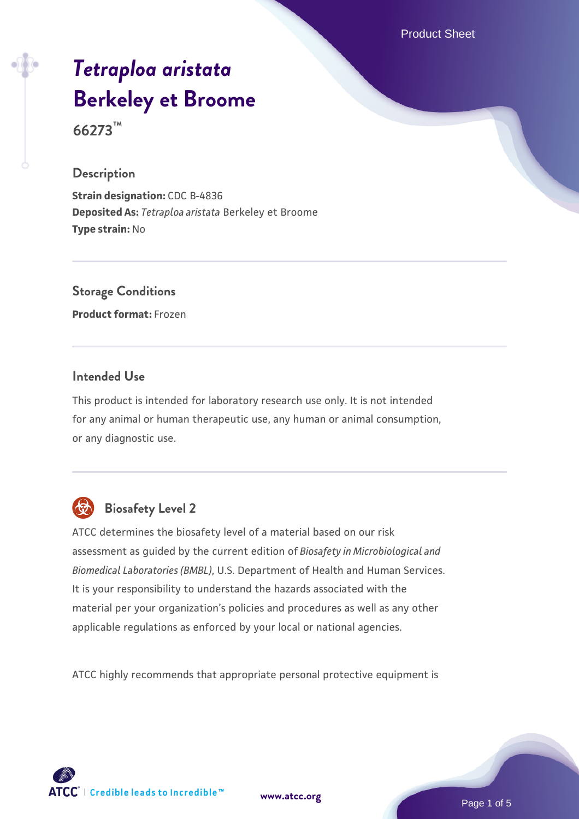Product Sheet

# *[Tetraploa aristata](https://www.atcc.org/products/66273)* **[Berkeley et Broome](https://www.atcc.org/products/66273)**

**66273™**

#### **Description**

**Strain designation:** CDC B-4836 **Deposited As:** *Tetraploa aristata* Berkeley et Broome **Type strain:** No

# **Storage Conditions**

**Product format:** Frozen

# **Intended Use**

This product is intended for laboratory research use only. It is not intended for any animal or human therapeutic use, any human or animal consumption, or any diagnostic use.



# **Biosafety Level 2**

ATCC determines the biosafety level of a material based on our risk assessment as guided by the current edition of *Biosafety in Microbiological and Biomedical Laboratories (BMBL)*, U.S. Department of Health and Human Services. It is your responsibility to understand the hazards associated with the material per your organization's policies and procedures as well as any other applicable regulations as enforced by your local or national agencies.

ATCC highly recommends that appropriate personal protective equipment is

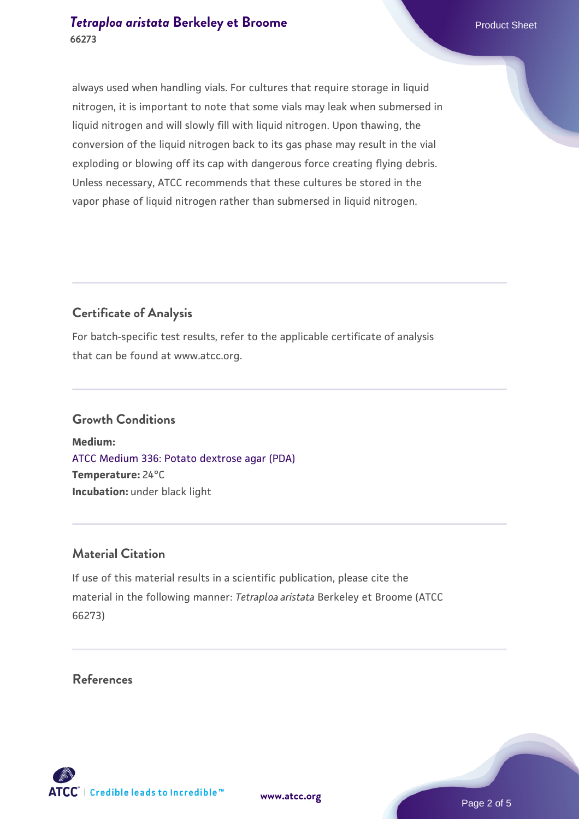# *[Tetraploa aristata](https://www.atcc.org/products/66273)* **[Berkeley et Broome](https://www.atcc.org/products/66273)** Product Sheet **66273**

always used when handling vials. For cultures that require storage in liquid nitrogen, it is important to note that some vials may leak when submersed in liquid nitrogen and will slowly fill with liquid nitrogen. Upon thawing, the conversion of the liquid nitrogen back to its gas phase may result in the vial exploding or blowing off its cap with dangerous force creating flying debris. Unless necessary, ATCC recommends that these cultures be stored in the vapor phase of liquid nitrogen rather than submersed in liquid nitrogen.

# **Certificate of Analysis**

For batch-specific test results, refer to the applicable certificate of analysis that can be found at www.atcc.org.

#### **Growth Conditions**

**Medium:**  [ATCC Medium 336: Potato dextrose agar \(PDA\)](https://www.atcc.org/-/media/product-assets/documents/microbial-media-formulations/3/3/6/atcc-medium-336.pdf?rev=d9160ad44d934cd8b65175461abbf3b9) **Temperature:** 24°C **Incubation:** under black light

#### **Material Citation**

If use of this material results in a scientific publication, please cite the material in the following manner: *Tetraploa aristata* Berkeley et Broome (ATCC 66273)

**References**



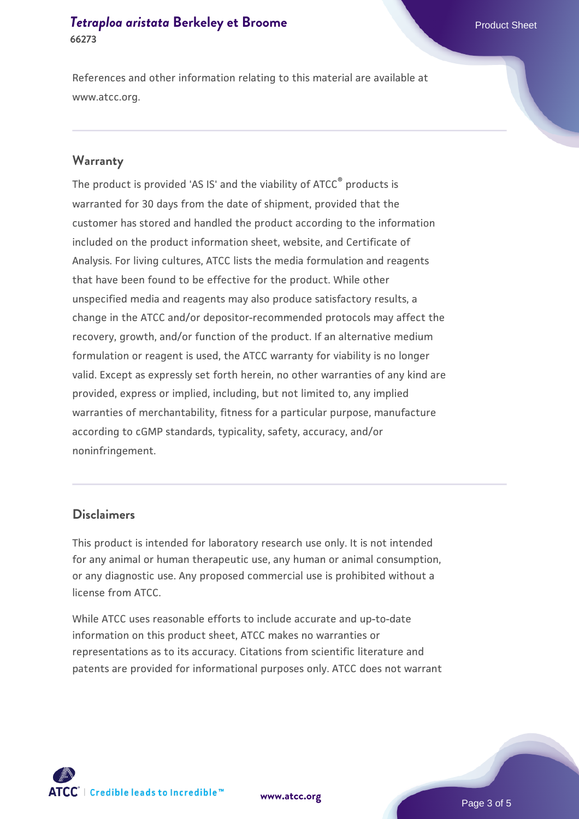# **[Tetraploa aristata](https://www.atcc.org/products/66273) [Berkeley et Broome](https://www.atcc.org/products/66273)** Product Sheet **66273**

References and other information relating to this material are available at www.atcc.org.

#### **Warranty**

The product is provided 'AS IS' and the viability of ATCC® products is warranted for 30 days from the date of shipment, provided that the customer has stored and handled the product according to the information included on the product information sheet, website, and Certificate of Analysis. For living cultures, ATCC lists the media formulation and reagents that have been found to be effective for the product. While other unspecified media and reagents may also produce satisfactory results, a change in the ATCC and/or depositor-recommended protocols may affect the recovery, growth, and/or function of the product. If an alternative medium formulation or reagent is used, the ATCC warranty for viability is no longer valid. Except as expressly set forth herein, no other warranties of any kind are provided, express or implied, including, but not limited to, any implied warranties of merchantability, fitness for a particular purpose, manufacture according to cGMP standards, typicality, safety, accuracy, and/or noninfringement.

#### **Disclaimers**

This product is intended for laboratory research use only. It is not intended for any animal or human therapeutic use, any human or animal consumption, or any diagnostic use. Any proposed commercial use is prohibited without a license from ATCC.

While ATCC uses reasonable efforts to include accurate and up-to-date information on this product sheet, ATCC makes no warranties or representations as to its accuracy. Citations from scientific literature and patents are provided for informational purposes only. ATCC does not warrant

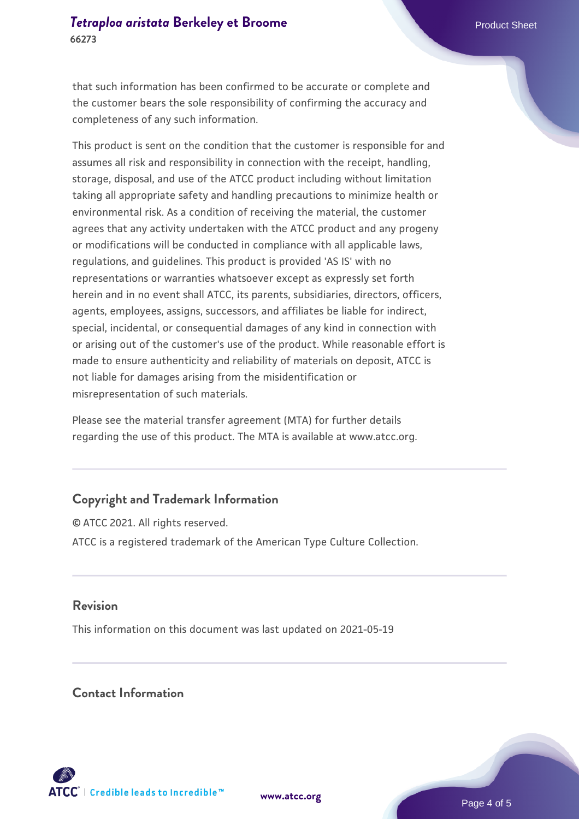that such information has been confirmed to be accurate or complete and the customer bears the sole responsibility of confirming the accuracy and completeness of any such information.

This product is sent on the condition that the customer is responsible for and assumes all risk and responsibility in connection with the receipt, handling, storage, disposal, and use of the ATCC product including without limitation taking all appropriate safety and handling precautions to minimize health or environmental risk. As a condition of receiving the material, the customer agrees that any activity undertaken with the ATCC product and any progeny or modifications will be conducted in compliance with all applicable laws, regulations, and guidelines. This product is provided 'AS IS' with no representations or warranties whatsoever except as expressly set forth herein and in no event shall ATCC, its parents, subsidiaries, directors, officers, agents, employees, assigns, successors, and affiliates be liable for indirect, special, incidental, or consequential damages of any kind in connection with or arising out of the customer's use of the product. While reasonable effort is made to ensure authenticity and reliability of materials on deposit, ATCC is not liable for damages arising from the misidentification or misrepresentation of such materials.

Please see the material transfer agreement (MTA) for further details regarding the use of this product. The MTA is available at www.atcc.org.

# **Copyright and Trademark Information**

© ATCC 2021. All rights reserved. ATCC is a registered trademark of the American Type Culture Collection.

# **Revision**

This information on this document was last updated on 2021-05-19

# **Contact Information**